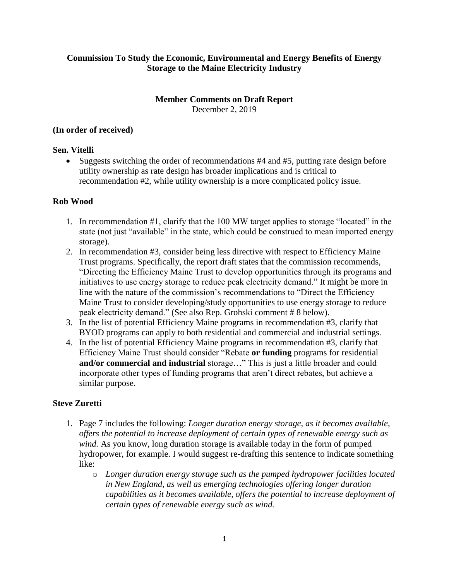# **Member Comments on Draft Report**

December 2, 2019

#### **(In order of received)**

### **Sen. Vitelli**

• Suggests switching the order of recommendations #4 and #5, putting rate design before utility ownership as rate design has broader implications and is critical to recommendation #2, while utility ownership is a more complicated policy issue.

## **Rob Wood**

- 1. In recommendation #1, clarify that the 100 MW target applies to storage "located" in the state (not just "available" in the state, which could be construed to mean imported energy storage).
- 2. In recommendation #3, consider being less directive with respect to Efficiency Maine Trust programs. Specifically, the report draft states that the commission recommends, "Directing the Efficiency Maine Trust to develop opportunities through its programs and initiatives to use energy storage to reduce peak electricity demand." It might be more in line with the nature of the commission's recommendations to "Direct the Efficiency Maine Trust to consider developing/study opportunities to use energy storage to reduce peak electricity demand." (See also Rep. Grohski comment # 8 below).
- 3. In the list of potential Efficiency Maine programs in recommendation #3, clarify that BYOD programs can apply to both residential and commercial and industrial settings.
- 4. In the list of potential Efficiency Maine programs in recommendation #3, clarify that Efficiency Maine Trust should consider "Rebate **or funding** programs for residential **and/or commercial and industrial** storage…" This is just a little broader and could incorporate other types of funding programs that aren't direct rebates, but achieve a similar purpose.

# **Steve Zuretti**

- 1. Page 7 includes the following: *Longer duration energy storage, as it becomes available, offers the potential to increase deployment of certain types of renewable energy such as wind.* As you know, long duration storage is available today in the form of pumped hydropower, for example. I would suggest re-drafting this sentence to indicate something like:
	- o *Longer duration energy storage such as the pumped hydropower facilities located in New England, as well as emerging technologies offering longer duration capabilities as it becomes available, offers the potential to increase deployment of certain types of renewable energy such as wind.*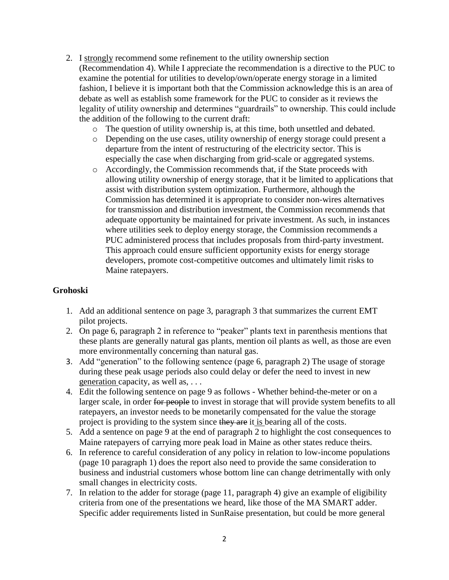- 2. I strongly recommend some refinement to the utility ownership section (Recommendation 4). While I appreciate the recommendation is a directive to the PUC to examine the potential for utilities to develop/own/operate energy storage in a limited fashion, I believe it is important both that the Commission acknowledge this is an area of debate as well as establish some framework for the PUC to consider as it reviews the legality of utility ownership and determines "guardrails" to ownership. This could include the addition of the following to the current draft:
	- o The question of utility ownership is, at this time, both unsettled and debated.
	- o Depending on the use cases, utility ownership of energy storage could present a departure from the intent of restructuring of the electricity sector. This is especially the case when discharging from grid-scale or aggregated systems.
	- o Accordingly, the Commission recommends that, if the State proceeds with allowing utility ownership of energy storage, that it be limited to applications that assist with distribution system optimization. Furthermore, although the Commission has determined it is appropriate to consider non-wires alternatives for transmission and distribution investment, the Commission recommends that adequate opportunity be maintained for private investment. As such, in instances where utilities seek to deploy energy storage, the Commission recommends a PUC administered process that includes proposals from third-party investment. This approach could ensure sufficient opportunity exists for energy storage developers, promote cost-competitive outcomes and ultimately limit risks to Maine ratepayers.

#### **Grohoski**

- 1. Add an additional sentence on page 3, paragraph 3 that summarizes the current EMT pilot projects.
- 2. On page 6, paragraph 2 in reference to "peaker" plants text in parenthesis mentions that these plants are generally natural gas plants, mention oil plants as well, as those are even more environmentally concerning than natural gas.
- 3. Add "generation" to the following sentence (page 6, paragraph 2) The usage of storage during these peak usage periods also could delay or defer the need to invest in new generation capacity, as well as, . . .
- 4. Edit the following sentence on page 9 as follows Whether behind-the-meter or on a larger scale, in order for people to invest in storage that will provide system benefits to all ratepayers, an investor needs to be monetarily compensated for the value the storage project is providing to the system since they are it is bearing all of the costs.
- 5. Add a sentence on page 9 at the end of paragraph 2 to highlight the cost consequences to Maine ratepayers of carrying more peak load in Maine as other states reduce theirs.
- 6. In reference to careful consideration of any policy in relation to low-income populations (page 10 paragraph 1) does the report also need to provide the same consideration to business and industrial customers whose bottom line can change detrimentally with only small changes in electricity costs.
- 7. In relation to the adder for storage (page 11, paragraph 4) give an example of eligibility criteria from one of the presentations we heard, like those of the MA SMART adder. Specific adder requirements listed in SunRaise presentation, but could be more general